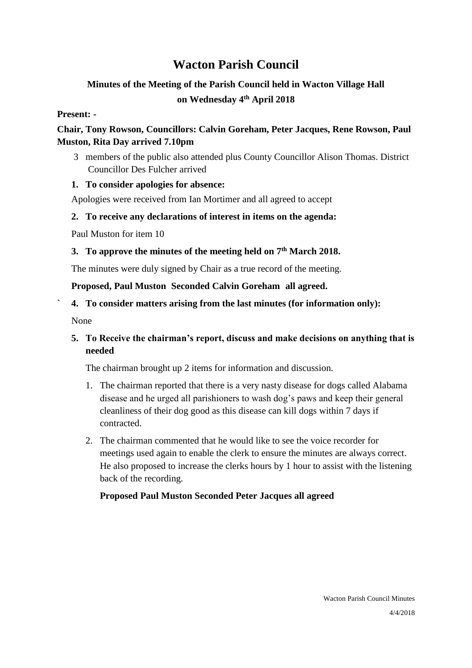# **Wacton Parish Council**

# **Minutes of the Meeting of the Parish Council held in Wacton Village Hall on Wednesday 4 th April 2018**

# **Present: -**

# **Chair, Tony Rowson, Councillors: Calvin Goreham, Peter Jacques, Rene Rowson, Paul Muston, Rita Day arrived 7.10pm**

3 members of the public also attended plus County Councillor Alison Thomas. District Councillor Des Fulcher arrived

# **1. To consider apologies for absence:**

Apologies were received from Ian Mortimer and all agreed to accept

# **2. To receive any declarations of interest in items on the agenda:**

Paul Muston for item 10

# **3. To approve the minutes of the meeting held on 7 th March 2018.**

The minutes were duly signed by Chair as a true record of the meeting.

# **Proposed, Paul Muston Seconded Calvin Goreham all agreed.**

# **` 4. To consider matters arising from the last minutes (for information only):**

None

# **5. To Receive the chairman's report, discuss and make decisions on anything that is needed**

The chairman brought up 2 items for information and discussion.

- 1. The chairman reported that there is a very nasty disease for dogs called Alabama disease and he urged all parishioners to wash dog's paws and keep their general cleanliness of their dog good as this disease can kill dogs within 7 days if contracted.
- 2. The chairman commented that he would like to see the voice recorder for meetings used again to enable the clerk to ensure the minutes are always correct. He also proposed to increase the clerks hours by 1 hour to assist with the listening back of the recording.

# **Proposed Paul Muston Seconded Peter Jacques all agreed**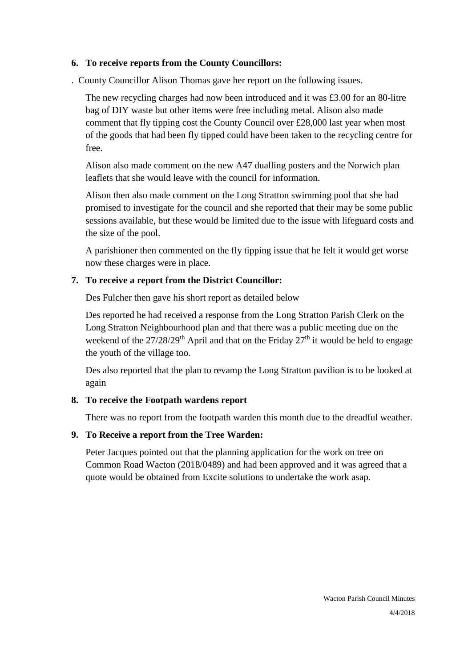# **6. To receive reports from the County Councillors:**

. County Councillor Alison Thomas gave her report on the following issues.

The new recycling charges had now been introduced and it was £3.00 for an 80-litre bag of DIY waste but other items were free including metal. Alison also made comment that fly tipping cost the County Council over £28,000 last year when most of the goods that had been fly tipped could have been taken to the recycling centre for free.

Alison also made comment on the new A47 dualling posters and the Norwich plan leaflets that she would leave with the council for information.

Alison then also made comment on the Long Stratton swimming pool that she had promised to investigate for the council and she reported that their may be some public sessions available, but these would be limited due to the issue with lifeguard costs and the size of the pool.

A parishioner then commented on the fly tipping issue that he felt it would get worse now these charges were in place.

# **7. To receive a report from the District Councillor:**

Des Fulcher then gave his short report as detailed below

Des reported he had received a response from the Long Stratton Parish Clerk on the Long Stratton Neighbourhood plan and that there was a public meeting due on the weekend of the  $27/28/29$ <sup>th</sup> April and that on the Friday  $27<sup>th</sup>$  it would be held to engage the youth of the village too.

Des also reported that the plan to revamp the Long Stratton pavilion is to be looked at again

# **8. To receive the Footpath wardens report**

There was no report from the footpath warden this month due to the dreadful weather.

# **9. To Receive a report from the Tree Warden:**

Peter Jacques pointed out that the planning application for the work on tree on Common Road Wacton (2018/0489) and had been approved and it was agreed that a quote would be obtained from Excite solutions to undertake the work asap.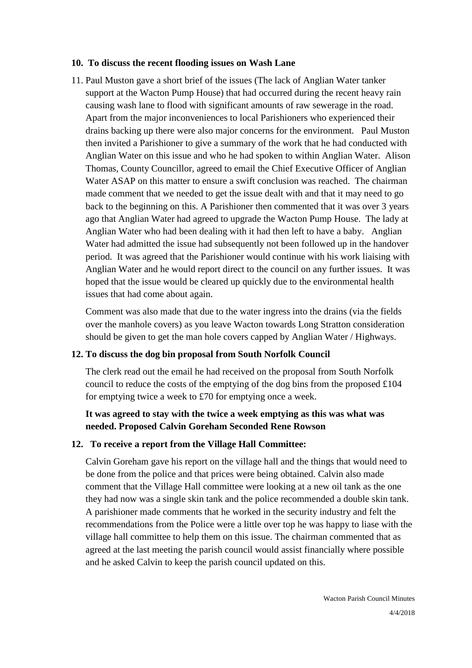#### **10. To discuss the recent flooding issues on Wash Lane**

11. Paul Muston gave a short brief of the issues (The lack of Anglian Water tanker support at the Wacton Pump House) that had occurred during the recent heavy rain causing wash lane to flood with significant amounts of raw sewerage in the road. Apart from the major inconveniences to local Parishioners who experienced their drains backing up there were also major concerns for the environment. Paul Muston then invited a Parishioner to give a summary of the work that he had conducted with Anglian Water on this issue and who he had spoken to within Anglian Water. Alison Thomas, County Councillor, agreed to email the Chief Executive Officer of Anglian Water ASAP on this matter to ensure a swift conclusion was reached. The chairman made comment that we needed to get the issue dealt with and that it may need to go back to the beginning on this. A Parishioner then commented that it was over 3 years ago that Anglian Water had agreed to upgrade the Wacton Pump House. The lady at Anglian Water who had been dealing with it had then left to have a baby. Anglian Water had admitted the issue had subsequently not been followed up in the handover period. It was agreed that the Parishioner would continue with his work liaising with Anglian Water and he would report direct to the council on any further issues. It was hoped that the issue would be cleared up quickly due to the environmental health issues that had come about again.

Comment was also made that due to the water ingress into the drains (via the fields over the manhole covers) as you leave Wacton towards Long Stratton consideration should be given to get the man hole covers capped by Anglian Water / Highways.

#### **12. To discuss the dog bin proposal from South Norfolk Council**

The clerk read out the email he had received on the proposal from South Norfolk council to reduce the costs of the emptying of the dog bins from the proposed £104 for emptying twice a week to £70 for emptying once a week.

# **It was agreed to stay with the twice a week emptying as this was what was needed. Proposed Calvin Goreham Seconded Rene Rowson**

#### **12. To receive a report from the Village Hall Committee:**

Calvin Goreham gave his report on the village hall and the things that would need to be done from the police and that prices were being obtained. Calvin also made comment that the Village Hall committee were looking at a new oil tank as the one they had now was a single skin tank and the police recommended a double skin tank. A parishioner made comments that he worked in the security industry and felt the recommendations from the Police were a little over top he was happy to liase with the village hall committee to help them on this issue. The chairman commented that as agreed at the last meeting the parish council would assist financially where possible and he asked Calvin to keep the parish council updated on this.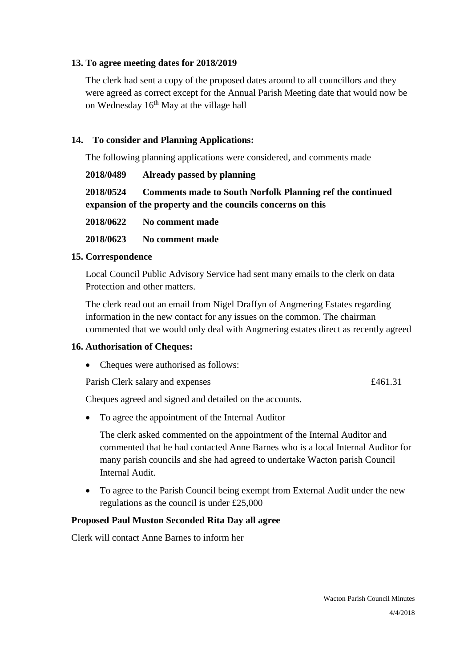### **13. To agree meeting dates for 2018/2019**

The clerk had sent a copy of the proposed dates around to all councillors and they were agreed as correct except for the Annual Parish Meeting date that would now be on Wednesday 16th May at the village hall

# **14. To consider and Planning Applications:**

The following planning applications were considered, and comments made

| 2018/0489                                                   | Already passed by planning                                       |
|-------------------------------------------------------------|------------------------------------------------------------------|
| 2018/0524                                                   | <b>Comments made to South Norfolk Planning ref the continued</b> |
| expansion of the property and the councils concerns on this |                                                                  |

**2018/0622 No comment made**

**2018/0623 No comment made**

#### **15. Correspondence**

Local Council Public Advisory Service had sent many emails to the clerk on data Protection and other matters.

The clerk read out an email from Nigel Draffyn of Angmering Estates regarding information in the new contact for any issues on the common. The chairman commented that we would only deal with Angmering estates direct as recently agreed

### **16. Authorisation of Cheques:**

• Cheques were authorised as follows:

Parish Clerk salary and expenses  $£461.31$ 

Cheques agreed and signed and detailed on the accounts.

• To agree the appointment of the Internal Auditor

The clerk asked commented on the appointment of the Internal Auditor and commented that he had contacted Anne Barnes who is a local Internal Auditor for many parish councils and she had agreed to undertake Wacton parish Council Internal Audit.

• To agree to the Parish Council being exempt from External Audit under the new regulations as the council is under £25,000

### **Proposed Paul Muston Seconded Rita Day all agree**

Clerk will contact Anne Barnes to inform her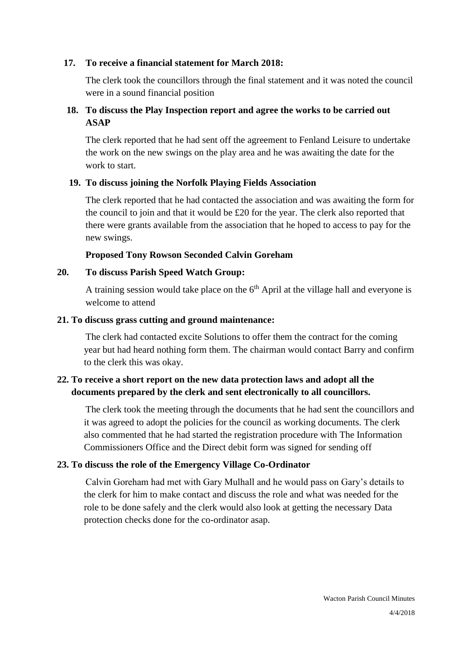### **17. To receive a financial statement for March 2018:**

The clerk took the councillors through the final statement and it was noted the council were in a sound financial position

# **18. To discuss the Play Inspection report and agree the works to be carried out ASAP**

The clerk reported that he had sent off the agreement to Fenland Leisure to undertake the work on the new swings on the play area and he was awaiting the date for the work to start.

### **19. To discuss joining the Norfolk Playing Fields Association**

The clerk reported that he had contacted the association and was awaiting the form for the council to join and that it would be £20 for the year. The clerk also reported that there were grants available from the association that he hoped to access to pay for the new swings.

### **Proposed Tony Rowson Seconded Calvin Goreham**

### **20. To discuss Parish Speed Watch Group:**

A training session would take place on the  $6<sup>th</sup>$  April at the village hall and everyone is welcome to attend

#### **21. To discuss grass cutting and ground maintenance:**

The clerk had contacted excite Solutions to offer them the contract for the coming year but had heard nothing form them. The chairman would contact Barry and confirm to the clerk this was okay.

# **22. To receive a short report on the new data protection laws and adopt all the documents prepared by the clerk and sent electronically to all councillors.**

The clerk took the meeting through the documents that he had sent the councillors and it was agreed to adopt the policies for the council as working documents. The clerk also commented that he had started the registration procedure with The Information Commissioners Office and the Direct debit form was signed for sending off

### **23. To discuss the role of the Emergency Village Co-Ordinator**

Calvin Goreham had met with Gary Mulhall and he would pass on Gary's details to the clerk for him to make contact and discuss the role and what was needed for the role to be done safely and the clerk would also look at getting the necessary Data protection checks done for the co-ordinator asap.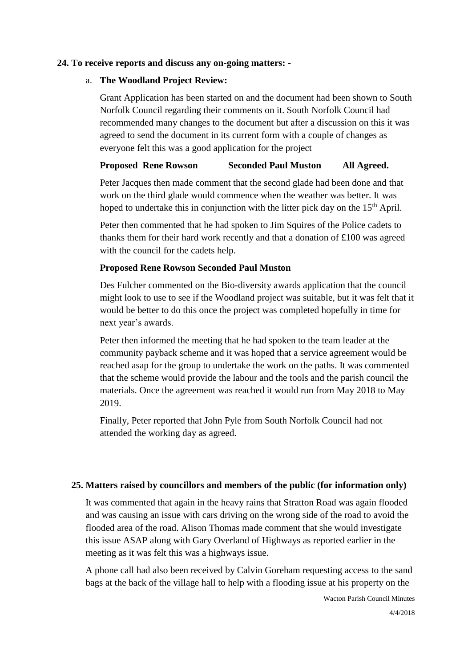#### **24. To receive reports and discuss any on-going matters: -**

#### a. **The Woodland Project Review:**

Grant Application has been started on and the document had been shown to South Norfolk Council regarding their comments on it. South Norfolk Council had recommended many changes to the document but after a discussion on this it was agreed to send the document in its current form with a couple of changes as everyone felt this was a good application for the project

# **Proposed Rene Rowson Seconded Paul Muston All Agreed.**

Peter Jacques then made comment that the second glade had been done and that work on the third glade would commence when the weather was better. It was hoped to undertake this in conjunction with the litter pick day on the  $15<sup>th</sup>$  April.

Peter then commented that he had spoken to Jim Squires of the Police cadets to thanks them for their hard work recently and that a donation of £100 was agreed with the council for the cadets help.

### **Proposed Rene Rowson Seconded Paul Muston**

Des Fulcher commented on the Bio-diversity awards application that the council might look to use to see if the Woodland project was suitable, but it was felt that it would be better to do this once the project was completed hopefully in time for next year's awards.

Peter then informed the meeting that he had spoken to the team leader at the community payback scheme and it was hoped that a service agreement would be reached asap for the group to undertake the work on the paths. It was commented that the scheme would provide the labour and the tools and the parish council the materials. Once the agreement was reached it would run from May 2018 to May 2019.

Finally, Peter reported that John Pyle from South Norfolk Council had not attended the working day as agreed.

### **25. Matters raised by councillors and members of the public (for information only)**

It was commented that again in the heavy rains that Stratton Road was again flooded and was causing an issue with cars driving on the wrong side of the road to avoid the flooded area of the road. Alison Thomas made comment that she would investigate this issue ASAP along with Gary Overland of Highways as reported earlier in the meeting as it was felt this was a highways issue.

A phone call had also been received by Calvin Goreham requesting access to the sand bags at the back of the village hall to help with a flooding issue at his property on the